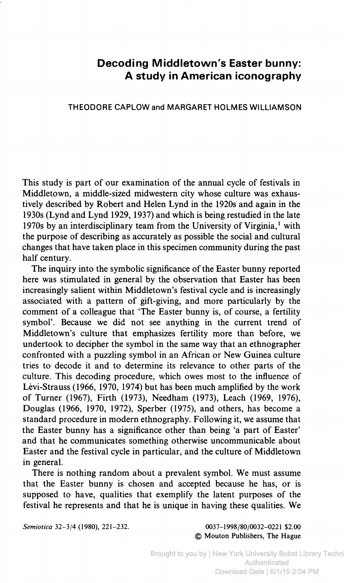## **Decoding Middletown's Easter bunny: A study in American iconography**

## THEODORE CAPLOW and MARGARET HOLMES WILLIAMSON

This study is part of our examination of the annual cycle of festivals in Middletown, a middle-sized midwestern city whose culture was exhaustively described by Robert and Helen Lynd in the 1920s and again in the 1930s (Lynd and Lynd 1929, 1937) and which is being restudied in the late 1970s by an interdisciplinary team from the University of Virginia,<sup>1</sup> with the purpose of describing as accurately as possible the social and cultural changes that have taken place in this specimen community during the past half century.

The inquiry into the symbolic significance of the Easter bunny reported here was stimulated in general by the observation that Easter has been increasingly salient within Middletown's festival cycle and is increasingly associated with a pattern of gift-giving, and more particularly by the comment of a colleague that The Easter bunny is, of course, a fertility symbol'. Because we did not see anything in the current trend of Middletown's culture that emphasizes fertility more than before, we undertook to decipher the symbol in the same way that an ethnographer confronted with a puzzling symbol in an African or New Guinea culture tries to decode it and to determine its relevance to other parts of the culture. This decoding procedure, which owes most to the influence of Levi-Strauss (1966, 1970, 1974) but has been much amplified by the work of Turner (1967), Firth (1973), Needham (1973), Leach (1969, 1976), Douglas (1966, 1970, 1972), Sperber (1975), and others, has become a standard procedure in modern ethnography. Following it, we assume that the Easter bunny has a significance other than being 'a part of Easter' and that he communicates something otherwise uncommunicable about Easter and the festival cycle in particular, and the culture of Middletown in general.

There is nothing random about a prevalent symbol. We must assume that the Easter bunny is chosen and accepted because he has, or is supposed to have, qualities that exemplify the latent purposes of the festival he represents and that he is unique in having these qualities. We

*Semiotica* 32-3/4 (1980), 221-232. 0037-1998/80/0032-0221 \$2.00 © Mouton Publishers, The Hague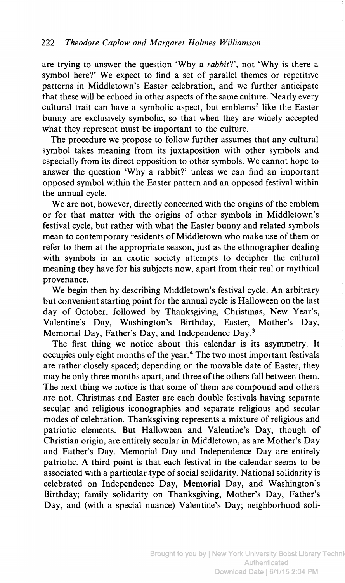are trying to answer the question 'Why a *rabbit?*', not 'Why is there a symbol here?' We expect to find a set of parallel themes or repetitive patterns in Middletown's Easter celebration, and we further anticipate that these will be echoed in other aspects of the same culture. Nearly every cultural trait can have a symbolic aspect, but emblems<sup>2</sup> like the Easter bunny are exclusively symbolic, so that when they are widely accepted what they represent must be important to the culture.

The procedure we propose to follow further assumes that any cultural symbol takes meaning from its juxtaposition with other symbols and especially from its direct opposition to other symbols. We cannot hope to answer the question 'Why a rabbit?' unless we can find an important opposed symbol within the Easter pattern and an opposed festival within the annual cycle.

We are not, however, directly concerned with the origins of the emblem or for that matter with the origins of other symbols in Middletown's festival cycle, but rather with what the Easter bunny and related symbols mean to contemporary residents of Middletown who make use of them or refer to them at the appropriate season, just as the ethnographer dealing with symbols in an exotic society attempts to decipher the cultural meaning they have for his subjects now, apart from their real or mythical provenance.

We begin then by describing Middletown's festival cycle. An arbitrary but convenient starting point for the annual cycle is Halloween on the last day of October, followed by Thanksgiving, Christmas, New Year's, Valentine's Day, Washington's Birthday, Easter, Mother's Day, Memorial Day, Father's Day, and Independence Day.<sup>3</sup>

The first thing we notice about this calendar is its asymmetry. It occupies only eight months of the year.<sup>4</sup> The two most important festivals are rather closely spaced; depending on the movable date of Easter, they may be only three months apart, and three of the others fall between them. The next thing we notice is that some of them are compound and others are not. Christmas and Easter are each double festivals having separate secular and religious iconographies and separate religious and secular modes of celebration. Thanksgiving represents a mixture of religious and patriotic elements. But Halloween and Valentine's Day, though of Christian origin, are entirely secular in Middletown, as are Mother's Day and Father's Day. Memorial Day and Independence Day are entirely patriotic. A third point is that each festival in the calendar seems to be associated with a particular type of social solidarity. National solidarity is celebrated on Independence Day, Memorial Day, and Washington's Birthday; family solidarity on Thanksgiving, Mother's Day, Father's Day, and (with a special nuance) Valentine's Day; neighborhood soli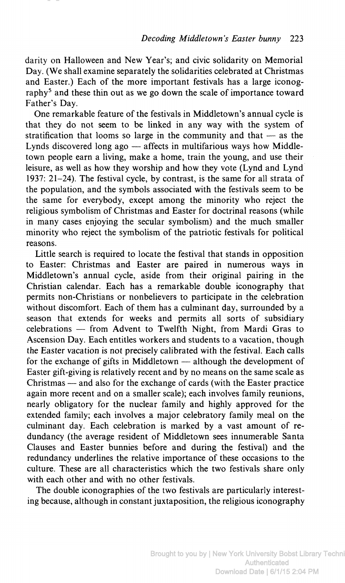darity on Halloween and New Year's; and civic solidarity on Memorial Day. (We shall examine separately the solidarities celebrated at Christmas and Easter.) Each of the more important festivals has a large iconography<sup>5</sup> and these thin out as we go down the scale of importance toward Father's Day.

One remarkable feature of the festivals in Middletown's annual cycle is that they do not seem to be linked in any way with the system of stratification that looms so large in the community and that — as the Lynds discovered long ago — affects in multifarious ways how Middletown people earn a living, make a home, train the young, and use their leisure, as well as how they worship and how they vote (Lynd and Lynd 1937: 21-24). The festival cycle, by contrast, is the same for all strata of the population, and the symbols associated with the festivals seem to be the same for everybody, except among the minority who reject the religious symbolism of Christmas and Easter for doctrinal reasons (while in many cases enjoying the secular symbolism) and the much smaller minority who reject the symbolism of the patriotic festivals for political reasons.

Little search is required to locate the festival that stands in opposition to Easter: Christmas and Easter are paired in numerous ways in Middletown's annual cycle, aside from their original pairing in the Christian calendar. Each has a remarkable double iconography that permits non-Christians or nonbelievers to participate in the celebration without discomfort. Each of them has a culminant day, surrounded by a season that extends for weeks and permits all sorts of subsidiary celebrations — from Advent to Twelfth Night, from Mardi Gras to Ascension Day. Each entitles workers and students to a vacation, though the Easter vacation is not precisely calibrated with the festival. Each calls for the exchange of gifts in Middletown — although the development of Easter gift-giving is relatively recent and by no means on the same scale as Christmas — and also for the exchange of cards (with the Easter practice again more recent and on a smaller scale); each involves family reunions, nearly obligatory for the nuclear family and highly approved for the extended family; each involves a major celebratory family meal on the culminant day. Each celebration is marked by a vast amount of redundancy (the average resident of Middletown sees innumerable Santa Clauses and Easter bunnies before and during the festival) and the redundancy underlines the relative importance of these occasions to the culture. These are all characteristics which the two festivals share only with each other and with no other festivals.

The double iconographies of the two festivals are particularly interesting because, although in constant juxtaposition, the religious iconography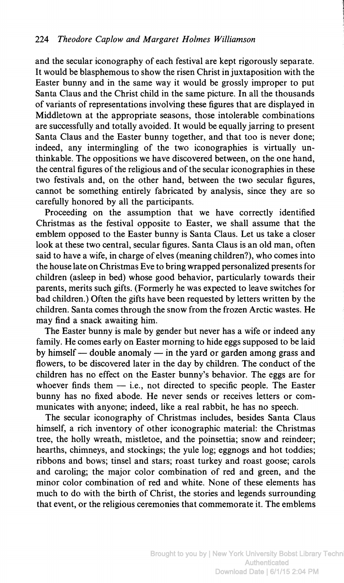and the secular iconography of each festival are kept rigorously separate. It would be blasphemous to show the risen Christ in juxtaposition with the Easter bunny and in the same way it would be grossly improper to put Santa Claus and the Christ child in the same picture. In all the thousands of variants of representations involving these figures that are displayed in Middletown at the appropriate seasons, those intolerable combinations are successfully and totally avoided. It would be equally jarring to present Santa Claus and the Easter bunny together, and that too is never done; indeed, any intermingling of the two iconographies is virtually unthinkable. The oppositions we have discovered between, on the one hand, the central figures of the religious and of the secular iconographies in these two festivals and, on the other hand, between the two secular figures, cannot be something entirely fabricated by analysis, since they are so carefully honored by all the participants.

Proceeding on the assumption that we have correctly identified Christmas as the festival opposite to Easter, we shall assume that the emblem opposed to the Easter bunny is Santa Claus. Let us take a closer look at these two central, secular figures. Santa Claus is an old man, often said to have a wife, in charge of elves (meaning children?), who comes into the house late on Christmas Eve to bring wrapped personalized presents for children (asleep in bed) whose good behavior, particularly towards their parents, merits such gifts. (Formerly he was expected to leave switches for bad children.) Often the gifts have been requested by letters written by the children. Santa comes through the snow from the frozen Arctic wastes. He may find a snack awaiting him.

The Easter bunny is male by gender but never has a wife or indeed any family. He comes early on Easter morning to hide eggs supposed to be laid by himself— double anomaly — in the yard or garden among grass and flowers, to be discovered later in the day by children. The conduct of the children has no effect on the Easter bunny's behavior. The eggs are for whoever finds them  $-$  i.e., not directed to specific people. The Easter bunny has no fixed abode. He never sends or receives letters or communicates with anyone; indeed, like a real rabbit, he has no speech.

The secular iconography of Christmas includes, besides Santa Claus himself, a rich inventory of other iconographic material: the Christmas tree, the holly wreath, mistletoe, and the poinsettia; snow and reindeer; hearths, chimneys, and stockings; the yule log; eggnogs and hot toddies; ribbons and bows; tinsel and stars; roast turkey and roast goose; carols and caroling; the major color combination of red and green, and the minor color combination of red and white. None of these elements has much to do with the birth of Christ, the stories and legends surrounding that event, or the religious ceremonies that commemorate it. The emblems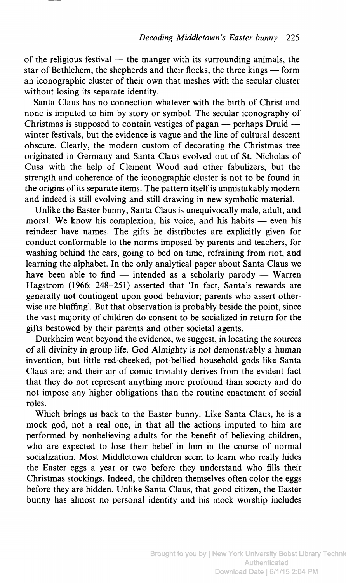of the religious festival — the manger with its surrounding animals, the star of Bethlehem, the shepherds and their flocks, the three kings — form an iconographic cluster of their own that meshes with the secular cluster without losing its separate identity.

Santa Claus has no connection whatever with the birth of Christ and none is imputed to him by story or symbol. The secular iconography of Christmas is supposed to contain vestiges of pagan — perhaps Druid winter festivals, but the evidence is vague and the line of cultural descent obscure. Clearly, the modern custom of decorating the Christmas tree originated in Germany and Santa Claus evolved out of St. Nicholas of Cusa with the help of Clement Wood and other fabulizers, but the strength and coherence of the iconographic cluster is not to be found in the origins of its separate items. The pattern itself is unmistakably modern and indeed is still evolving and still drawing in new symbolic material.

Unlike the Easter bunny, Santa Claus is unequivocally male, adult, and moral. We know his complexion, his voice, and his habits — even his reindeer have names. The gifts he distributes are explicitly given for conduct conformable to the norms imposed by parents and teachers, for washing behind the ears, going to bed on time, refraining from riot, and learning the alphabet. In the only analytical paper about Santa Claus we have been able to find — intended as a scholarly parody — Warren Hagstrom (1966: 248-251) asserted that 'In fact, Santa's rewards are generally not contingent upon good behavior; parents who assert otherwise are bluffing'. But that observation is probably beside the point, since the vast majority of children do consent to be socialized in return for the gifts bestowed by their parents and other societal agents.

Durkheim went beyond the evidence, we suggest, in locating the sources of all divinity in group life. God Almighty is not demonstrably a human invention, but little red-cheeked, pot-bellied household gods like Santa Claus are; and their air of comic triviality derives from the evident fact that they do not represent anything more profound than society and do not impose any higher obligations than the routine enactment of social roles.

Which brings us back to the Easter bunny. Like Santa Claus, he is a mock god, not a real one, in that all the actions imputed to him are performed by nonbelieving adults for the benefit of believing children, who are expected to lose their belief in him in the course of normal socialization. Most Middletown children seem to learn who really hides the Easter eggs a year or two before they understand who fills their Christmas stockings. Indeed, the children themselves often color the eggs before they are hidden. Unlike Santa Claus, that good citizen, the Easter bunny has almost no personal identity and his mock worship includes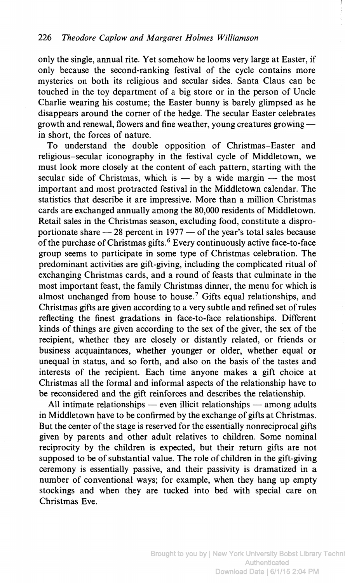only the single, annual rite. Yet somehow he looms very large at Easter, if only because the second-ranking festival of the cycle contains more mysteries on both its religious and secular sides. Santa Claus can be touched in the toy department of a big store or in the person of Uncle Charlie wearing his costume; the Easter bunny is barely glimpsed as he disappears around the corner of the hedge. The secular Easter celebrates growth and renewal, flowers and fine weather, young creatures growing in short, the forces of nature.

To understand the double opposition of Christmas-Easter and religious-secular iconography in the festival cycle of Middletown, we must look more closely at the content of each pattern, starting with the secular side of Christmas, which is — by a wide margin — the most important and most protracted festival in the Middletown calendar. The statistics that describe it are impressive. More than a million Christmas cards are exchanged annually among the 80,000 residents of Middletown. Retail sales in the Christmas season, excluding food, constitute a disproportionate share — 28 percent in 1977 — of the year's total sales because of the purchase of Christmas gifts.<sup>6</sup> Every continuously active face-to-face group seems to participate in some type of Christmas celebration. The predominant activities are gift-giving, including the complicated ritual of exchanging Christmas cards, and a round of feasts that culminate in the most important feast, the family Christmas dinner, the menu for which is almost unchanged from house to house.<sup>7</sup> Gifts equal relationships, and Christmas gifts are given according to a very subtle and refined set of rules reflecting the finest gradations in face-to-face relationships. Different kinds of things are given according to the sex of the giver, the sex of the recipient, whether they are closely or distantly related, or friends or business acquaintances, whether younger or older, whether equal or unequal in status, and so forth, and also on the basis of the tastes and interests of the recipient. Each time anyone makes a gift choice at Christmas all the formal and informal aspects of the relationship have to be reconsidered and the gift reinforces and describes the relationship.

All intimate relationships — even illicit relationships — among adults in Middletown have to be confirmed by the exchange of gifts at Christmas. But the center of the stage is reserved for the essentially nonreciprocal gifts given by parents and other adult relatives to children. Some nominal reciprocity by the children is expected, but their return gifts are not supposed to be of substantial value. The role of children in the gift-giving ceremony is essentially passive, and their passivity is dramatized in a number of conventional ways; for example, when they hang up empty stockings and when they are tucked into bed with special care on Christmas Eve.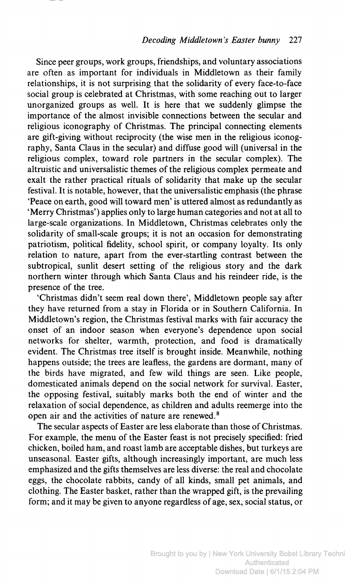Since peer groups, work groups, friendships, and voluntary associations are often as important for individuals in Middletown as their family relationships, it is not surprising that the solidarity of every face-to-face social group is celebrated at Christmas, with some reaching out to larger unorganized groups as well. It is here that we suddenly glimpse the importance of the almost invisible connections between the secular and religious iconography of Christmas. The principal connecting elements are gift-giving without reciprocity (the wise men in the religious iconography, Santa Claus in the secular) and diffuse good will (universal in the religious complex, toward role partners in the secular complex). The altruistic and universalistic themes of the religious complex permeate and exalt the rather practical rituals of solidarity that make up the secular festival. It is notable, however, that the universalistic emphasis (the phrase 'Peace on earth, good will toward men' is uttered almost as redundantly as 'Merry Christmas') applies only to large human categories and not at all to large-scale organizations. In Middletown, Christmas celebrates only the solidarity of small-scale groups; it is not an occasion for demonstrating patriotism, political fidelity, school spirit, or company loyalty. Its only relation to nature, apart from the ever-startling contrast between the subtropical, sunlit desert setting of the religious story and the dark northern winter through which Santa Claus and his reindeer ride, is the presence of the tree.

'Christmas didn't seem real down there', Middletown people say after they have returned from a stay in Florida or in Southern California. In Middletown's region, the Christmas festival marks with fair accuracy the onset of an indoor season when everyone's dependence upon social networks for shelter, warmth, protection, and food is dramatically evident. The Christmas tree itself is brought inside. Meanwhile, nothing happens outside; the trees are leafless, the gardens are dormant, many of the birds have migrated, and few wild things are seen. Like people, domesticated animals depend on the social network for survival. Easter, the opposing festival, suitably marks both the end of winter and the relaxation of social dependence, as children and adults reemerge into the open air and the activities of nature are renewed.<sup>8</sup>

The secular aspects of Easter are less elaborate than those of Christmas. For example, the menu of the Easter feast is not precisely specified: fried chicken, boiled ham, and roast lamb are acceptable dishes, but turkeys are unseasonal. Easter gifts, although increasingly important, are much less emphasized and the gifts themselves are less diverse: the real and chocolate eggs, the chocolate rabbits, candy of all kinds, small pet animals, and clothing. The Easter basket, rather than the wrapped gift, is the prevailing form; and it may be given to anyone regardless of age, sex, social status, or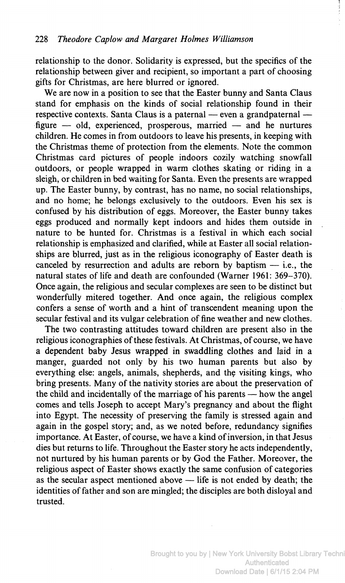relationship to the donor. Solidarity is expressed, but the specifics of the relationship between giver and recipient, so important a part of choosing gifts for Christmas, are here blurred or ignored.

We are now in a position to see that the Easter bunny and Santa Claus stand for emphasis on the kinds of social relationship found in their respective contexts. Santa Claus is a paternal — even a grandpaternal figure — old, experienced, prosperous, married — and he nurtures children. He comes in from outdoors to leave his presents, in keeping with the Christmas theme of protection from the elements. Note the common Christmas card pictures of people indoors cozily watching snowfall outdoors, or people wrapped in warm clothes skating or riding in a sleigh, or children in bed waiting for Santa. Even the presents are wrapped up. The Easter bunny, by contrast, has no name, no social relationships, and no home; he belongs exclusively to the outdoors. Even his sex is confused by his distribution of eggs. Moreover, the Easter bunny takes eggs produced and normally kept indoors and hides them outside in nature to be hunted for. Christmas is a festival in which each social relationship is emphasized and clarified, while at Easter all social relationships are blurred, just as in the religious iconography of Easter death is canceled by resurrection and adults are reborn by baptism  $-$  i.e., the natural states of life and death are confounded (Warner 1961: 369-370). Once again, the religious and secular complexes are seen to be distinct but wonderfully mitered together. And once again, the religious complex confers a sense of worth and a hint of transcendent meaning upon the secular festival and its vulgar celebration of fine weather and new clothes.

The two contrasting attitudes toward children are present also in the religious iconographies of these festivals. At Christmas, of course, we have a dependent baby Jesus wrapped in swaddling clothes and laid in a manger, guarded not only by his two human parents but also by everything else: angels, animals, shepherds, and the visiting kings, who bring presents. Many of the nativity stories are about the preservation of the child and incidentally of the marriage of his parents — how the angel comes and tells Joseph to accept Mary's pregnancy and about the flight into Egypt. The necessity of preserving the family is stressed again and again in the gospel story; and, as we noted before, redundancy signifies importance. At Easter, of course, we have a kind of inversion, in that Jesus dies but returns to life. Throughout the Easter story he acts independently, not nurtured by his human parents or by God the Father. Moreover, the religious aspect of Easter shows exactly the same confusion of categories as the secular aspect mentioned above — life is not ended by death; the identities of father and son are mingled; the disciples are both disloyal and trusted.

> Brought to you by | New York University Bobst Library Techni Authenticated Download Date | 6/1/15 2:04 PM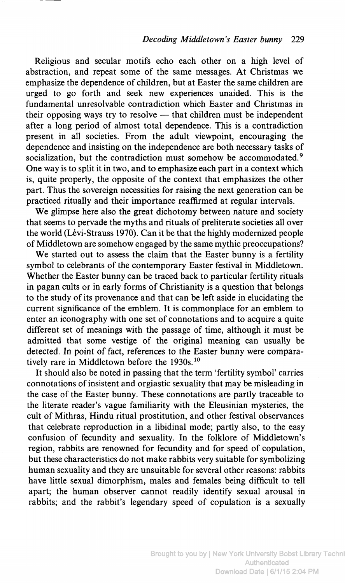Religious and secular motifs echo each other on a high level of abstraction, and repeat some of the same messages. At Christmas we emphasize the dependence of children, but at Easter the same children are urged to go forth and seek new experiences unaided. This is the fundamental unresolvable contradiction which Easter and Christmas in their opposing ways try to resolve — that children must be independent after a long period of almost total dependence. This is a contradiction present in all societies. From the adult viewpoint, encouraging the dependence and insisting on the independence are both necessary tasks of socialization, but the contradiction must somehow be accommodated.<sup>9</sup> One way is to split it in two, and to emphasize each part in a context which is, quite properly, the opposite of the context that emphasizes the other part. Thus the sovereign necessities for raising the next generation can be practiced ritually and their importance reaffirmed at regular intervals.

We glimpse here also the great dichotomy between nature and society that seems to pervade the myths and rituals of preliterate societies all over the world (Lévi-Strauss 1970). Can it be that the highly modernized people of Middletown are somehow engaged by the same mythic preoccupations?

We started out to assess the claim that the Easter bunny is a fertility symbol to celebrants of the contemporary Easter festival in Middletown. Whether the Easter bunny can be traced back to particular fertility rituals in pagan cults or in early forms of Christianity is a question that belongs to the study of its provenance and that can be left aside in elucidating the current significance of the emblem. It is commonplace for an emblem to enter an iconography with one set of connotations and to acquire a quite different set of meanings with the passage of time, although it must be admitted that some vestige of the original meaning can usually be detected. In point of fact, references to the Easter bunny were comparatively rare in Middletown before the 1930s.<sup>10</sup>

It should also be noted in passing that the term 'fertility symbol' carries connotations of insistent and orgiastic sexuality that may be misleading in the case of the Easter bunny. These connotations are partly traceable to the literate reader's vague familiarity with the Eleusinian mysteries, the cult of Mithras, Hindu ritual prostitution, and other festival observances that celebrate reproduction in a libidinal mode; partly also, to the easy confusion of fecundity and sexuality. In the folklore of Middletown's region, rabbits are renowned for fecundity and for speed of copulation, but these characteristics do not make rabbits very suitable for symbolizing human sexuality and they are unsuitable for several other reasons: rabbits have little sexual dimorphism, males and females being difficult to tell apart; the human observer cannot readily identify sexual arousal in rabbits; and the rabbit's legendary speed of copulation is a sexually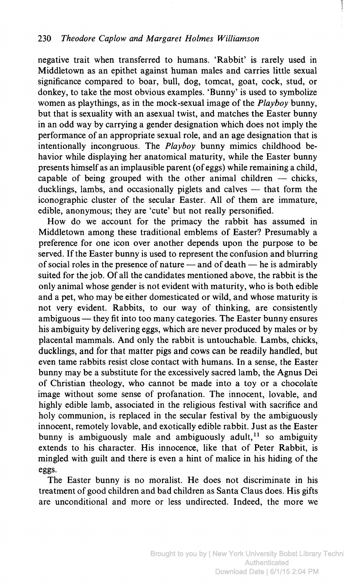negative trait when transferred to humans. 'Rabbit' is rarely used in Middletown as an epithet against human males and carries little sexual significance compared to boar, bull, dog, tomcat, goat, cock, stud, or donkey, to take the most obvious examples. 'Bunny' is used to symbolize women as playthings, as in the mock-sexual image of the *Playboy* bunny, but that is sexuality with an asexual twist, and matches the Easter bunny in an odd way by carrying a gender designation which does not imply the performance of an appropriate sexual role, and an age designation that is intentionally incongruous. The *Playboy* bunny mimics childhood behavior while displaying her anatomical maturity, while the Easter bunny presents himself as an implausible parent (of eggs) while remaining a child, capable of being grouped with the other animal children — chicks, ducklings, lambs, and occasionally piglets and calves — that form the iconographic cluster of the secular Easter. All of them are immature, edible, anonymous; they are 'cute' but not really personified.

How do we account for the primacy the rabbit has assumed in Middletown among these traditional emblems of Easter? Presumably a preference for one icon over another depends upon the purpose to be served. If the Easter bunny is used to represent the confusion and blurring of social roles in the presence of nature — and of death — he is admirably suited for the job. Of all the candidates mentioned above, the rabbit is the only animal whose gender is not evident with maturity, who is both edible and a pet, who may be either domesticated or wild, and whose maturity is not very evident. Rabbits, to our way of thinking, are consistently ambiguous — they fit into too many categories. The Easter bunny ensures his ambiguity by delivering eggs, which are never produced by males or by placental mammals. And only the rabbit is untouchable. Lambs, chicks, ducklings, and for that matter pigs and cows can be readily handled, but even tame rabbits resist close contact with humans. In a sense, the Easter bunny may be a substitute for the excessively sacred lamb, the Agnus Dei of Christian theology, who cannot be made into a toy or a chocolate image without some sense of profanation. The innocent, lovable, and highly edible lamb, associated in the religious festival with sacrifice and holy communion, is replaced in the secular festival by the ambiguously innocent, remotely lovable, and exotically edible rabbit. Just as the Easter bunny is ambiguously male and ambiguously adult,<sup>11</sup> so ambiguity extends to his character. His innocence, like that of Peter Rabbit, is mingled with guilt and there is even a hint of malice in his hiding of the eggs.

The Easter bunny is no moralist. He does not discriminate in his treatment of good children and bad children as Santa Claus does. His gifts are unconditional and more or less undirected. Indeed, the more we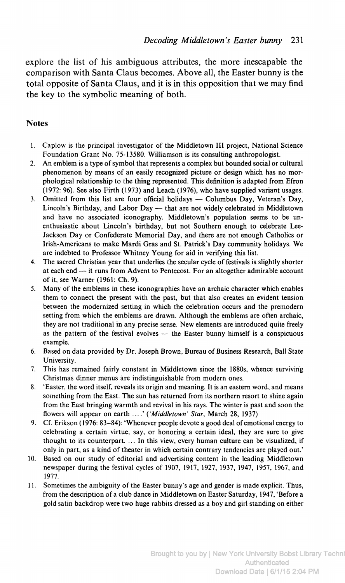explore the list of his ambiguous attributes, the more inescapable the comparison with Santa Claus becomes. Above all, the Easter bunny is the total opposite of Santa Claus, and it is in this opposition that we may find the key to the symbolic meaning of both.

## **Notes**

- 1. Caplow is the principal investigator of the Middletown III project, National Science Foundation Grant No. 75-13580. Williamson is its consulting anthropologist.
- 2. An emblem is a type of symbol that represents a complex but bounded social or cultural phenomenon by means of an easily recognized picture or design which has no morphological relationship to the thing represented. This definition is adapted from Efron (1972: 96). See also Firth (1973) and Leach (1976), who have supplied variant usages.
- 3. Omitted from this list are four official holidays Columbus Day, Veteran's Day, Lincoln's Birthday, and Labor Day — that are not widely celebrated in Middletown and have no associated iconography. Middletown's population seems to be unenthusiastic about Lincoln's birthday, but not Southern enough to celebrate Lee-Jackson Day or Confederate Memorial Day, and there are not enough Catholics or Irish-Americans to make Mardi Gras and St. Patrick's Day community holidays. We are indebted to Professor Whitney Young for aid in verifying this list.
- 4. The sacred Christian year that underlies the secular cycle of festivals is slightly shorter at each end — it runs from Advent to Pentecost. For an altogether admirable account of it, see Warner (1961: Ch. 9).
- 5. Many of the emblems in these iconographies have an archaic character which enables them to connect the present with the past, but that also creates an evident tension between the modernized setting in which the celebration occurs and the premodern setting from which the emblems are drawn. Although the emblems are often archaic, they are not traditional in any precise sense. New elements are introduced quite freely as the pattern of the festival evolves — the Easter bunny himself is a conspicuous example.
- 6. Based on data provided by Dr. Joseph Brown, Bureau of Business Research, Ball State University.
- 7. This has remained fairly constant in Middletown since the 1880s, whence surviving Christmas dinner menus are indistinguishable from modern ones.
- 8. 'Easter, the word itself, reveals its origin and meaning. It is an eastern word, and means something from the East. The sun has returned from its northern resort to shine again from the East bringing warmth and revival in his rays. The winter is past and soon the flowers will appear on earth ....' *('Middletown' Star,* March 28, 1937)
- 9. Cf. Erikson (1976: 83-84): 'Whenever people devote a good deal of emotional energy to celebrating a certain virtue, say, or honoring a certain ideal, they are sure to give thought to its counterpart. ... In this view, every human culture can be visualized, if only in part, as a kind of theater in which certain contrary tendencies are played out.'
- 10. Based on our study of editorial and advertising content in the leading Middletown newspaper during the festival cycles of 1907, 1917, 1927, 1937, 1947, 1957, 1967, and 1977.
- 11. Sometimes the ambiguity of the Easter bunny's age and gender is made explicit. Thus, from the description of a club dance in Middletown on Easter Saturday, 1947, 'Before a gold satin backdrop were two huge rabbits dressed as a boy and girl standing on either